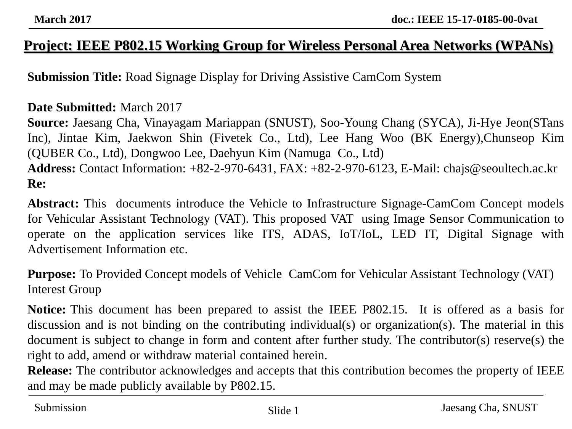#### **Project: IEEE P802.15 Working Group for Wireless Personal Area Networks (WPANs)**

**Submission Title:** Road Signage Display for Driving Assistive CamCom System

#### **Date Submitted:** March 2017

**Source:** Jaesang Cha, Vinayagam Mariappan (SNUST), Soo-Young Chang (SYCA), Ji-Hye Jeon(STans Inc), Jintae Kim, Jaekwon Shin (Fivetek Co., Ltd), Lee Hang Woo (BK Energy),Chunseop Kim (QUBER Co., Ltd), Dongwoo Lee, Daehyun Kim (Namuga Co., Ltd) **Address:** Contact Information: +82-2-970-6431, FAX: +82-2-970-6123, E-Mail: chajs@seoultech.ac.kr **Re:**

**Abstract:** This documents introduce the Vehicle to Infrastructure Signage-CamCom Concept models for Vehicular Assistant Technology (VAT). This proposed VAT using Image Sensor Communication to operate on the application services like ITS, ADAS, IoT/IoL, LED IT, Digital Signage with Advertisement Information etc.

**Purpose:** To Provided Concept models of Vehicle CamCom for Vehicular Assistant Technology (VAT) Interest Group

**Notice:** This document has been prepared to assist the IEEE P802.15. It is offered as a basis for discussion and is not binding on the contributing individual(s) or organization(s). The material in this document is subject to change in form and content after further study. The contributor(s) reserve(s) the right to add, amend or withdraw material contained herein.

**Release:** The contributor acknowledges and accepts that this contribution becomes the property of IEEE and may be made publicly available by P802.15.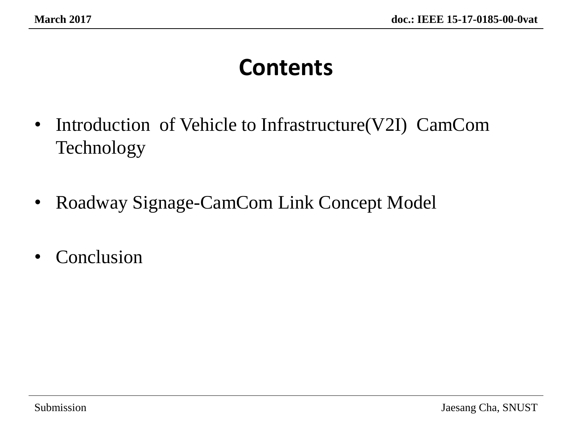# **Contents**

- Introduction of Vehicle to Infrastructure (V2I) CamCom Technology
- Roadway Signage-CamCom Link Concept Model
- Conclusion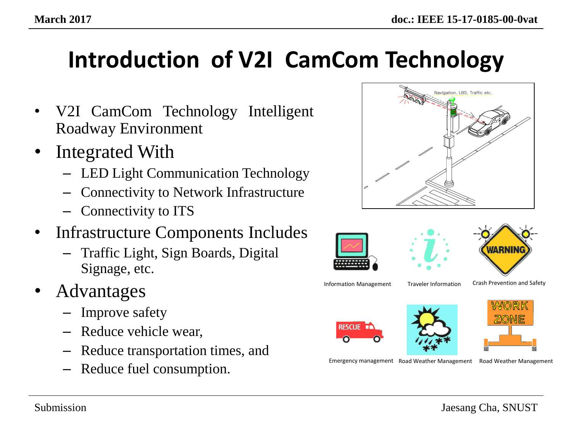# **Introduction of V2I CamCom Technology**

- V2I CamCom Technology Intelligent Roadway Environment
- Integrated With
	- LED Light Communication Technology
	- Connectivity to Network Infrastructure
	- Connectivity to ITS
- Infrastructure Components Includes
	- Traffic Light, Sign Boards, Digital Signage, etc.
- Advantages
	- Improve safety
	- Reduce vehicle wear,
	- Reduce transportation times, and
	- Reduce fuel consumption.





Crash Prevention and Safety



Emergency management Road Weather Management

Road Weather Management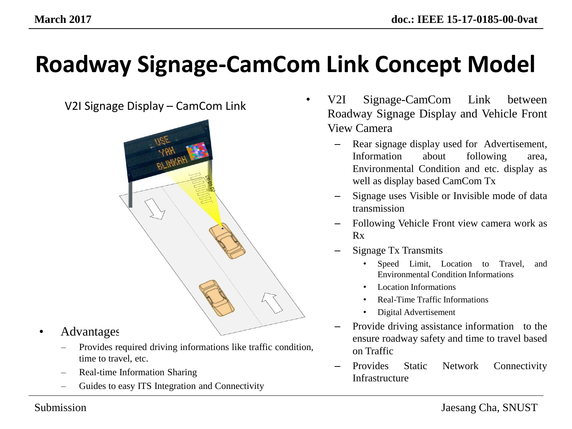# **Roadway Signage-CamCom Link Concept Model**



- Advantages
	- Provides required driving informations like traffic condition, time to travel, etc.
	- Real-time Information Sharing
	- Guides to easy ITS Integration and Connectivity
- V2I Signage Display CamCom Link V2I Signage-CamCom Link between Roadway Signage Display and Vehicle Front View Camera
	- Rear signage display used for Advertisement, Information about following area, Environmental Condition and etc. display as well as display based CamCom Tx
	- Signage uses Visible or Invisible mode of data transmission
	- Following Vehicle Front view camera work as Rx
	- Signage Tx Transmits
		- Speed Limit, Location to Travel, and Environmental Condition Informations
		- Location Informations
		- Real-Time Traffic Informations
		- Digital Advertisement
	- Provide driving assistance information to the ensure roadway safety and time to travel based on Traffic
	- Provides Static Network Connectivity Infrastructure